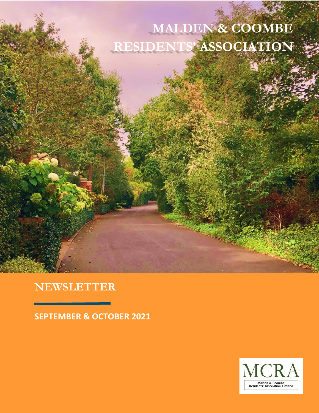## **MALDEN & COOMBE RESIDENTS' ASSOCIATION**

### **NEWSLETTER**

**SEPTEMBER & OCTOBER 2021**

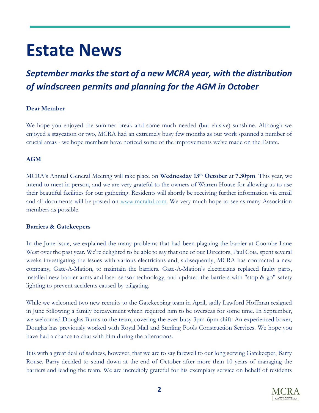# **Estate News**

### **September marks the start of a new MCRA year, with the distribution** *of windscreen permits and planning for the AGM in October*

#### **Dear Member**

We hope you enjoyed the summer break and some much needed (but elusive) sunshine. Although we enjoyed a staycation or two, MCRA had an extremely busy few months as our work spanned a number of crucial areas - we hope members have noticed some of the improvements we've made on the Estate.

#### **AGM**

MCRA's Annual General Meeting will take place on **Wednesday 13th October** at **7.30pm**. This year, we intend to meet in person, and we are very grateful to the owners of Warren House for allowing us to use their beautiful facilities for our gathering. Residents will shortly be receiving further information via email and all documents will be posted on [www.mcraltd.com.](http://www.mcraltd.com/) We very much hope to see as many Association members as possible.

#### **Barriers & Gatekeepers**

In the June issue, we explained the many problems that had been plaguing the barrier at Coombe Lane West over the past year. We're delighted to be able to say that one of our Directors, Paul Coia, spent several weeks investigating the issues with various electricians and, subsequently, MCRA has contracted a new company, Gate-A-Mation, to maintain the barriers. Gate-A-Mation's electricians replaced faulty parts, installed new barrier arms and laser sensor technology, and updated the barriers with "stop & go" safety lighting to prevent accidents caused by tailgating.

While we welcomed two new recruits to the Gatekeeping team in April, sadly Lawford Hoffman resigned in June following a family bereavement which required him to be overseas for some time. In September, we welcomed Douglas Burns to the team, covering the ever busy 3pm-6pm shift. An experienced boxer, Douglas has previously worked with Royal Mail and Sterling Pools Construction Services. We hope you have had a chance to chat with him during the afternoons.

It is with a great deal of sadness, however, that we are to say farewell to our long serving Gatekeeper, Barry Rouse. Barry decided to stand down at the end of October after more than 10 years of managing the barriers and leading the team. We are incredibly grateful for his exemplary service on behalf of residents

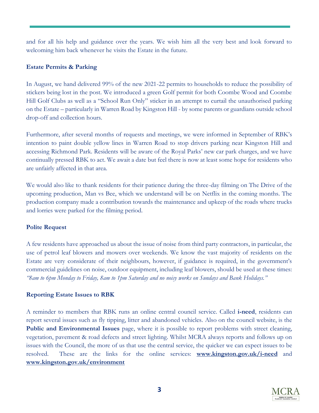and for all his help and guidance over the years. We wish him all the very best and look forward to welcoming him back whenever he visits the Estate in the future.

#### **Estate Permits & Parking**

In August, we hand delivered 99% of the new 2021-22 permits to households to reduce the possibility of stickers being lost in the post. We introduced a green Golf permit for both Coombe Wood and Coombe Hill Golf Clubs as well as a "School Run Only" sticker in an attempt to curtail the unauthorised parking on the Estate – particularly in Warren Road by Kingston Hill - by some parents or guardians outside school drop-off and collection hours.

Furthermore, after several months of requests and meetings, we were informed in September of RBK's intention to paint double yellow lines in Warren Road to stop drivers parking near Kingston Hill and accessing Richmond Park. Residents will be aware of the Royal Parks' new car park charges, and we have continually pressed RBK to act. We await a date but feel there is now at least some hope for residents who are unfairly affected in that area.

We would also like to thank residents for their patience during the three-day filming on The Drive of the upcoming production, Man vs Bee, which we understand will be on Netflix in the coming months. The production company made a contribution towards the maintenance and upkeep of the roads where trucks and lorries were parked for the filming period.

#### **Polite Request**

A few residents have approached us about the issue of noise from third party contractors, in particular, the use of petrol leaf blowers and mowers over weekends. We know the vast majority of residents on the Estate are very considerate of their neighbours, however, if guidance is required, in the government's commercial guidelines on noise, outdoor equipment, including leaf blowers, should be used at these times: *"8am to 6pm Monday to Friday, 8am to 1pm Saturday and no noisy works on Sundays and Bank Holidays."*

#### **Reporting Estate Issues to RBK**

A reminder to members that RBK runs an online central council service. Called **i-need**, residents can report several issues such as fly tipping, litter and abandoned vehicles. Also on the council website, is the **Public and Environmental Issues** page, where it is possible to report problems with street cleaning, vegetation, pavement & road defects and street lighting. Whilst MCRA always reports and follows up on issues with the Council, the more of us that use the central service, the quicker we can expect issues to be resolved. These are the links for the online services: **[www.kingston.gov.uk/i-need](http://www.kingston.gov.uk/i-need)** and **[www.kingston.gov.uk/environment](http://www.kingston.gov.uk/environment)**

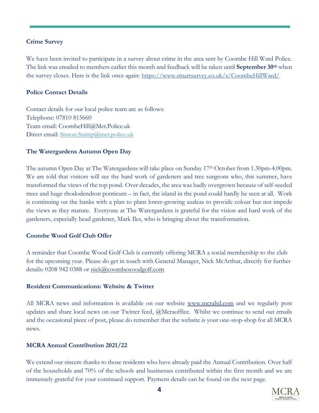#### **Crime Survey**

We have been invited to participate in a survey about crime in the area sent by Coombe Hill Ward Police. The link was emailed to members earlier this month and feedback will be taken until **September 30th** when the survey closes. Here is the link once again: <https://www.smartsurvey.co.uk/s/CoombeHillWard/>

#### **Police Contact Details**

Contact details for our local police team are as follows: Telephone: 07810 815660 Team email: [CoombeHill@Met.Police.uk](mailto:CoombeHill@Met.Police.uk) Direct email: [Simon.Stamp@met.police.uk](mailto:Simon.Stamp@met.police.uk)

#### **The Watergardens Autumn Open Day**

The autumn Open Day at The Watergardens will take place on Sunday 17<sup>th</sup> October from 1.30pm-4.00pm. We are told that visitors will see the hard work of gardeners and tree surgeons who, this summer, have transformed the views of the top pond. Over decades, the area was badly overgrown because of self-seeded trees and huge rhododendron ponticum – in fact, the island in the pond could hardly be seen at all. Work is continuing on the banks with a plan to plant lower-growing azaleas to provide colour but not impede the views as they mature. Everyone at The Watergardens is grateful for the vision and hard work of the gardeners, especially head gardener, Mark Iles, who is bringing about the transformation.

#### **Coombe Wood Golf Club Offer**

A reminder that Coombe Wood Golf Club is currently offering MCRA a social membership to the club for the upcoming year. Please do get in touch with General Manager, Nick McArthur, directly for further details: 0208 942 0388 or [nick@coombewoodgolf.com](mailto:nick@coombewoodgolf.com)

#### **Resident Communications: Website & Twitter**

All MCRA news and information is available on our website [www.mcraltd.com](http://www.mcraltd.com/) and we regularly post updates and share local news on our Twitter feed, @Mcraoffice. Whilst we continue to send out emails and the occasional piece of post, please do remember that the website is your one-stop-shop for all MCRA news.

#### **MCRA Annual Contribution 2021/22**

We extend our sincere thanks to those residents who have already paid the Annual Contribution. Over half of the households and 70% of the schools and businesses contributed within the first month and we are immensely grateful for your continued support. Payment details can be found on the next page.